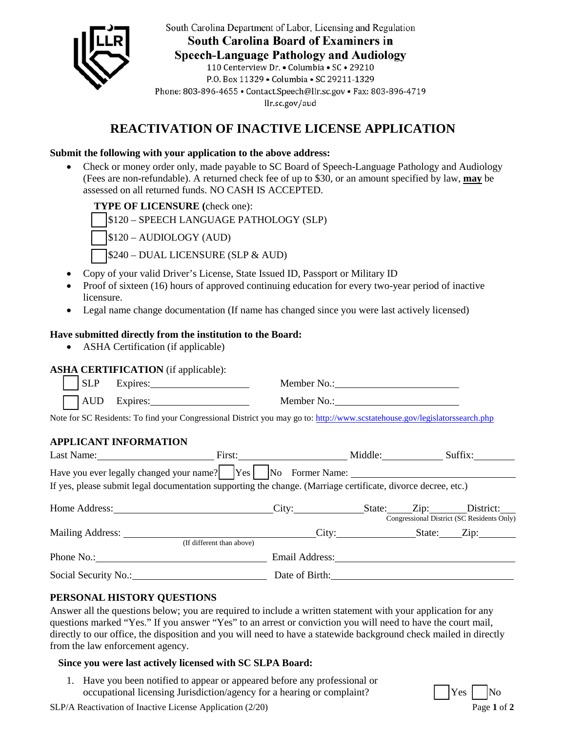

South Carolina Department of Labor, Licensing and Regulation **South Carolina Board of Examiners in Speech-Language Pathology and Audiology** 110 Centerview Dr. • Columbia • SC • 29210

P.O. Box 11329 . Columbia . SC 29211-1329

Phone: 803-896-4655 • Contact.Speech@llr.sc.gov • Fax: 803-896-4719

llr.sc.gov/aud

# **REACTIVATION OF INACTIVE LICENSE APPLICATION**

# **Submit the following with your application to the above address:**

• Check or money order only, made payable to SC Board of Speech-Language Pathology and Audiology (Fees are non-refundable). A returned check fee of up to \$30, or an amount specified by law, **may** be assessed on all returned funds. NO CASH IS ACCEPTED.

# **TYPE OF LICENSURE (**check one):

\$120 – SPEECH LANGUAGE PATHOLOGY (SLP)

\$120 – AUDIOLOGY (AUD)

\$240 – DUAL LICENSURE (SLP & AUD)

- Copy of your valid Driver's License, State Issued ID, Passport or Military ID
- Proof of sixteen (16) hours of approved continuing education for every two-year period of inactive licensure.
- Legal name change documentation (If name has changed since you were last actively licensed)

# **Have submitted directly from the institution to the Board:**

• ASHA Certification (if applicable)

# **ASHA CERTIFICATION** (if applicable):

| <b>SLP</b>  | Expires: | Member No.: |
|-------------|----------|-------------|
| <b>LAUD</b> | Expires: | Member No.: |

Note for SC Residents: To find your Congressional District you may go to: http://www.scstatehouse.gov/legislatorssearch.php

# **APPLICANT INFORMATION**

| Last Name:                                                                                                                                                                                                                                   | First:                    |  |  | Suffix:                                                             |  |  |  |
|----------------------------------------------------------------------------------------------------------------------------------------------------------------------------------------------------------------------------------------------|---------------------------|--|--|---------------------------------------------------------------------|--|--|--|
| Have you ever legally changed your name?   Yes   No Former Name: _______________<br>If yes, please submit legal documentation supporting the change. (Marriage certificate, divorce decree, etc.)                                            |                           |  |  |                                                                     |  |  |  |
|                                                                                                                                                                                                                                              | $\text{City:}$            |  |  | State: Zip: District:<br>Congressional District (SC Residents Only) |  |  |  |
| Mailing Address:                                                                                                                                                                                                                             | (If different than above) |  |  | City: State: Zip:                                                   |  |  |  |
| Phone No.:<br>Email Address: No. 1996. The Second Second Second Second Second Second Second Second Second Second Second Second Second Second Second Second Second Second Second Second Second Second Second Second Second Second Second Seco |                           |  |  |                                                                     |  |  |  |
|                                                                                                                                                                                                                                              | Date of Birth:            |  |  |                                                                     |  |  |  |

# **PERSONAL HISTORY QUESTIONS**

Answer all the questions below; you are required to include a written statement with your application for any questions marked "Yes." If you answer "Yes" to an arrest or conviction you will need to have the court mail, directly to our office, the disposition and you will need to have a statewide background check mailed in directly from the law enforcement agency.

# **Since you were last actively licensed with SC SLPA Board:**

1. Have you been notified to appear or appeared before any professional or  $\alpha$  occupational licensing Jurisdiction/agency for a hearing or complaint?  $\qquad$   $\qquad$  Yes



SLP/A Reactivation of Inactive License Application (2/20) Page **1** of **2**